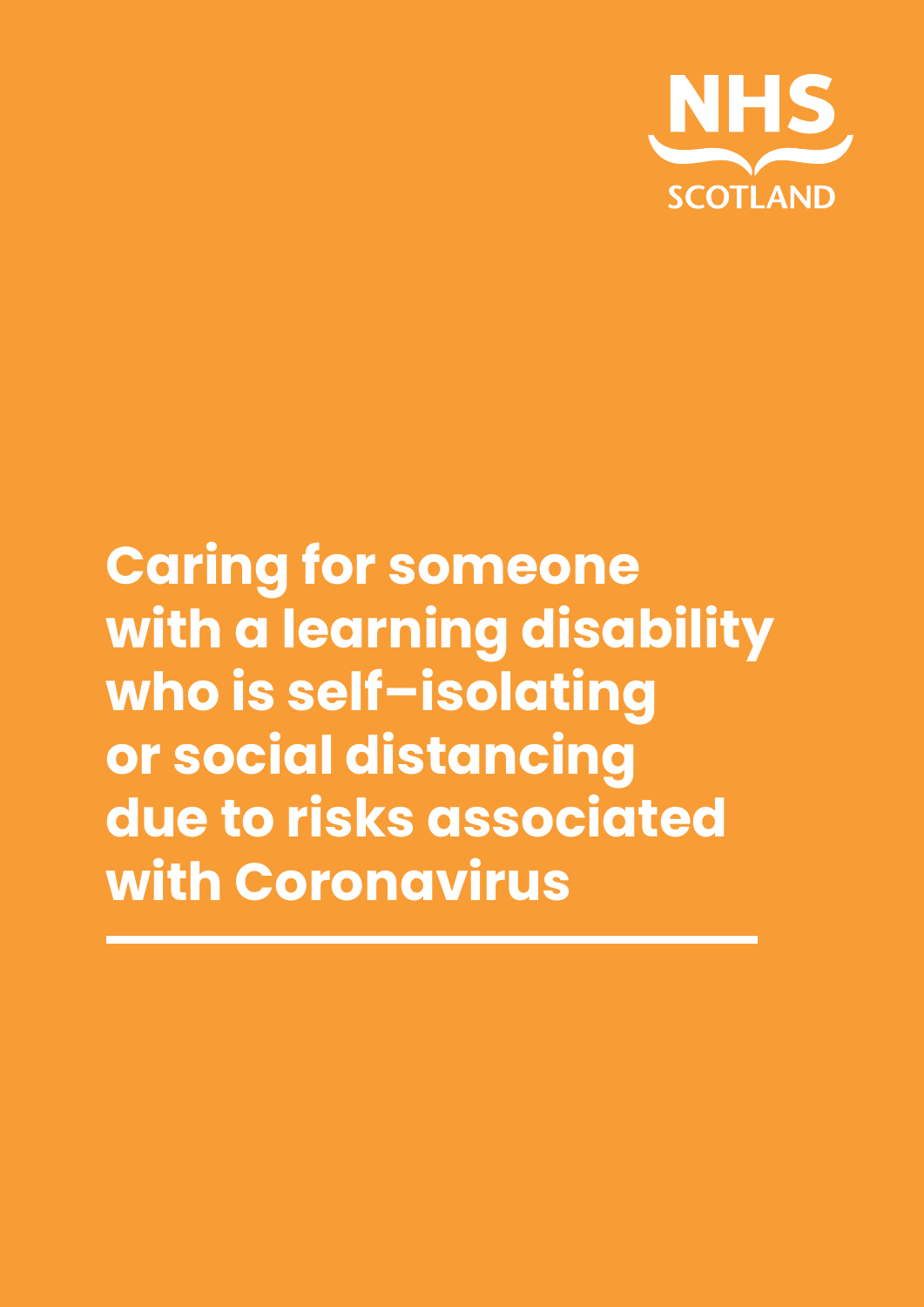

# **Caring for someone with a learning disability who is self–isolating or social distancing due to risks associated with Coronavirus**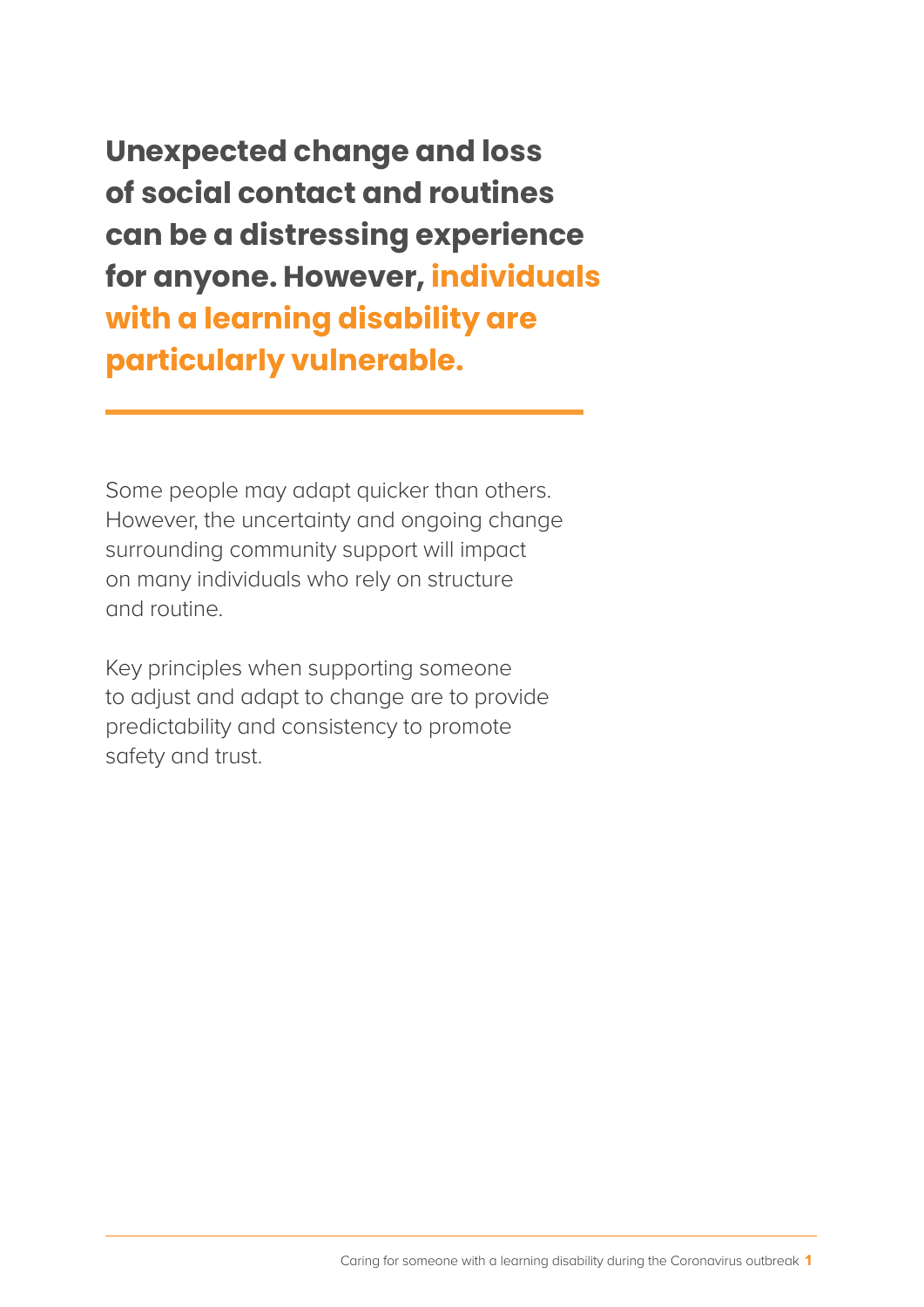**Unexpected change and loss of social contact and routines can be a distressing experience for anyone. However, individuals with a learning disability are particularly vulnerable.**

Some people may adapt quicker than others. However, the uncertainty and ongoing change surrounding community support will impact on many individuals who rely on structure and routine.

Key principles when supporting someone to adjust and adapt to change are to provide predictability and consistency to promote safety and trust.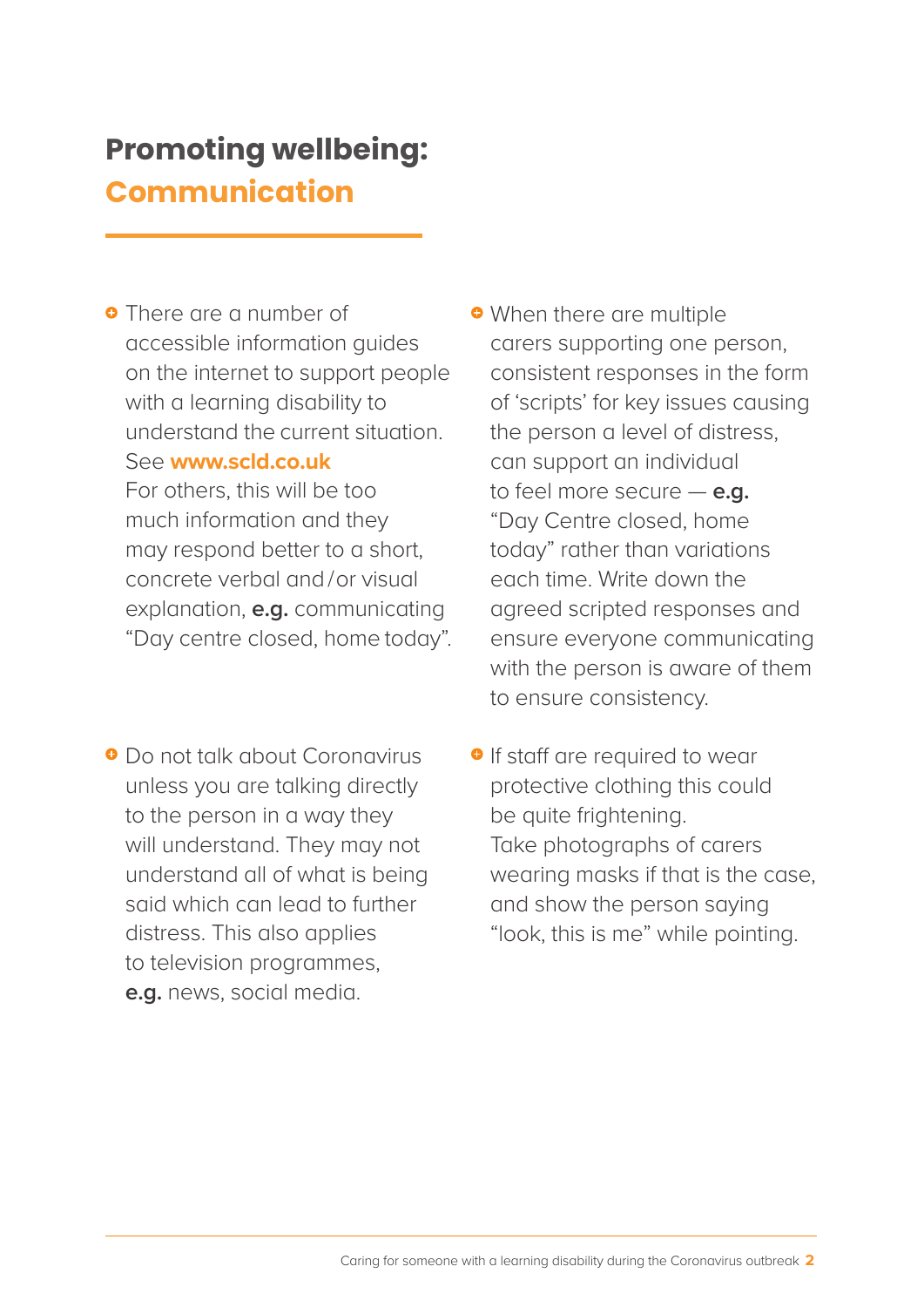## **Promoting wellbeing: Communication**

**•** There are a number of accessible information guides on the internet to support people with a learning disability to understand the current situation. See **www.scld.co.uk** For others, this will be too much information and they may respond better to a short, concrete verbal and /or visual explanation, **e.g.** communicating "Day centre closed, home today".

Do not talk about Coronavirus unless you are talking directly to the person in a way they will understand. They may not understand all of what is being said which can lead to further distress. This also applies to television programmes, **e.g.** news, social media.

**• When there are multiple** carers supporting one person, consistent responses in the form of 'scripts' for key issues causing the person a level of distress, can support an individual to feel more secure — **e.g.** "Day Centre closed, home today" rather than variations each time. Write down the agreed scripted responses and ensure everyone communicating with the person is aware of them to ensure consistency.

**•** If staff are required to wear protective clothing this could be quite frightening. Take photographs of carers wearing masks if that is the case, and show the person saying "look, this is me" while pointing.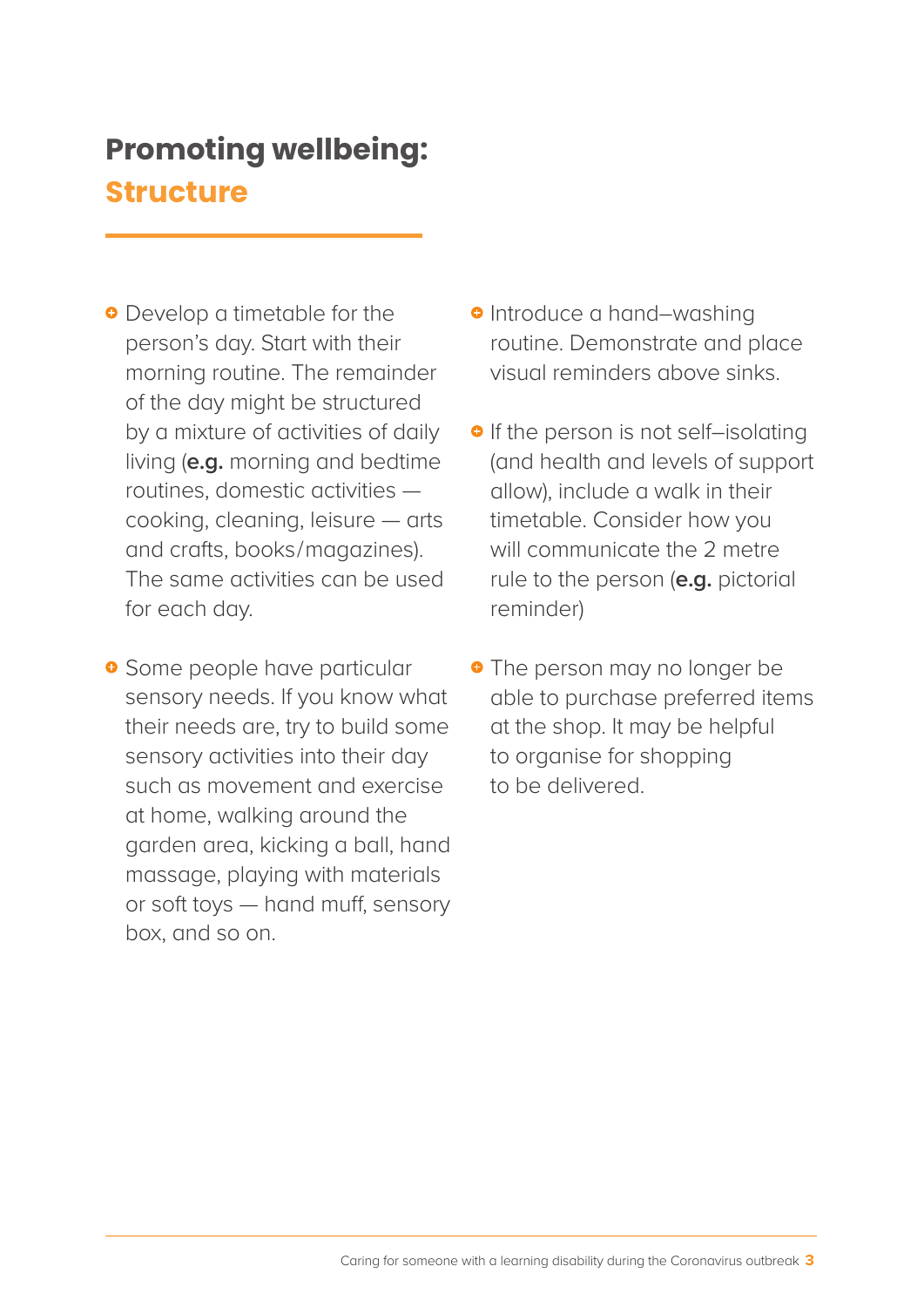# **Promoting wellbeing: Structure**

**•** Develop a timetable for the person's day. Start with their morning routine. The remainder of the day might be structured by a mixture of activities of daily living (**e.g.** morning and bedtime routines, domestic activities cooking, cleaning, leisure — arts and crafts, books/magazines). The same activities can be used for each day.

**•** Some people have particular sensory needs. If you know what their needs are, try to build some sensory activities into their day such as movement and exercise at home, walking around the garden area, kicking a ball, hand massage, playing with materials or soft toys — hand muff, sensory box, and so on.

- **•** Introduce a hand–washing routine. Demonstrate and place visual reminders above sinks.
- **•** If the person is not self-isolating (and health and levels of support allow), include a walk in their timetable. Consider how you will communicate the 2 metre rule to the person (**e.g.** pictorial reminder)
- **•** The person may no longer be able to purchase preferred items at the shop. It may be helpful to organise for shopping to be delivered.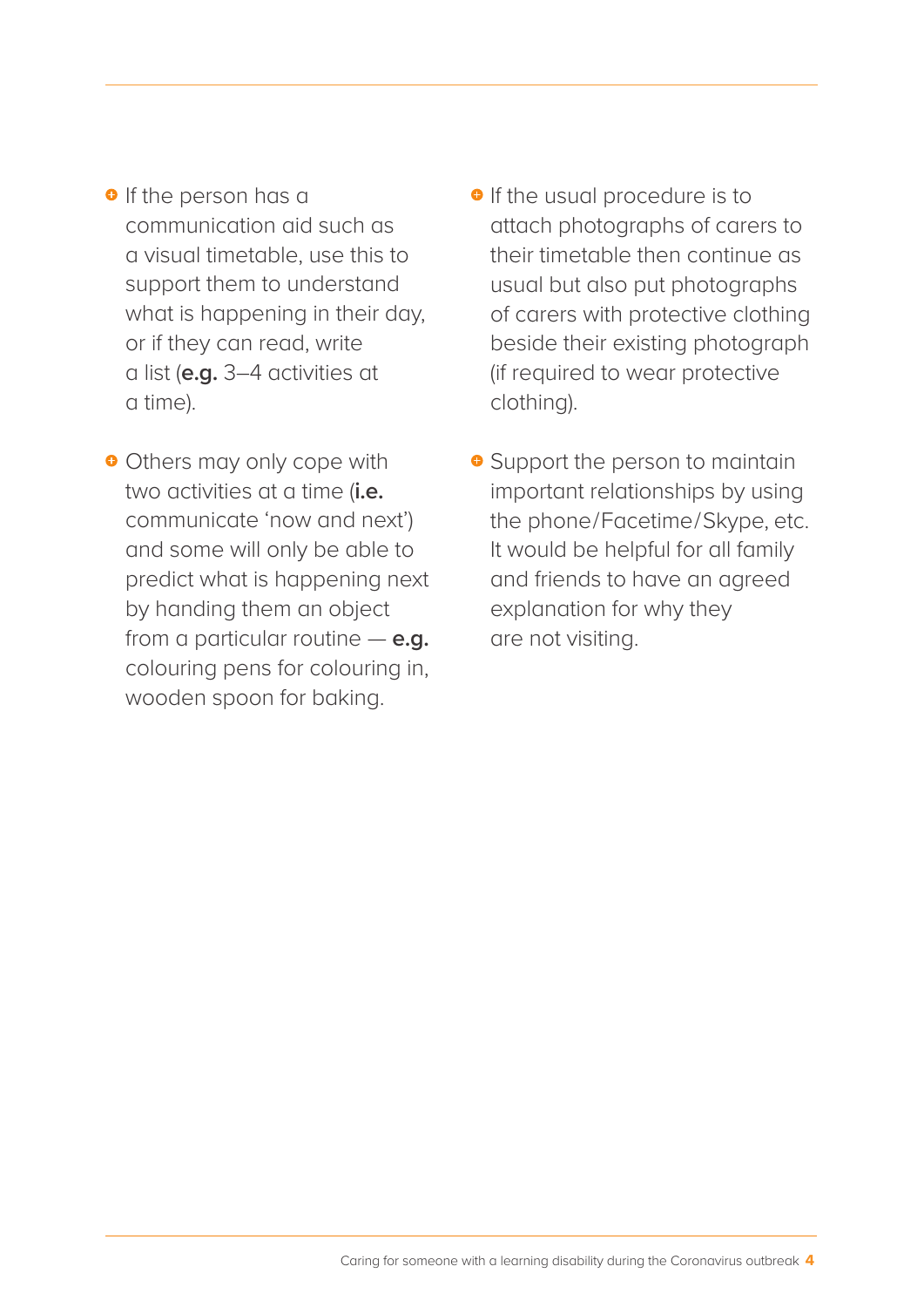- **•** If the person has a communication aid such as a visual timetable, use this to support them to understand what is happening in their day, or if they can read, write a list (**e.g.** 3–4 activities at a time).
- **•** Others may only cope with two activities at a time (**i.e.** communicate 'now and next') and some will only be able to predict what is happening next by handing them an object from a particular routine — **e.g.** colouring pens for colouring in, wooden spoon for baking.
- **•** If the usual procedure is to attach photographs of carers to their timetable then continue as usual but also put photographs of carers with protective clothing beside their existing photograph (if required to wear protective clothing).
- **•** Support the person to maintain important relationships by using the phone/Facetime/Skype, etc. It would be helpful for all family and friends to have an agreed explanation for why they are not visiting.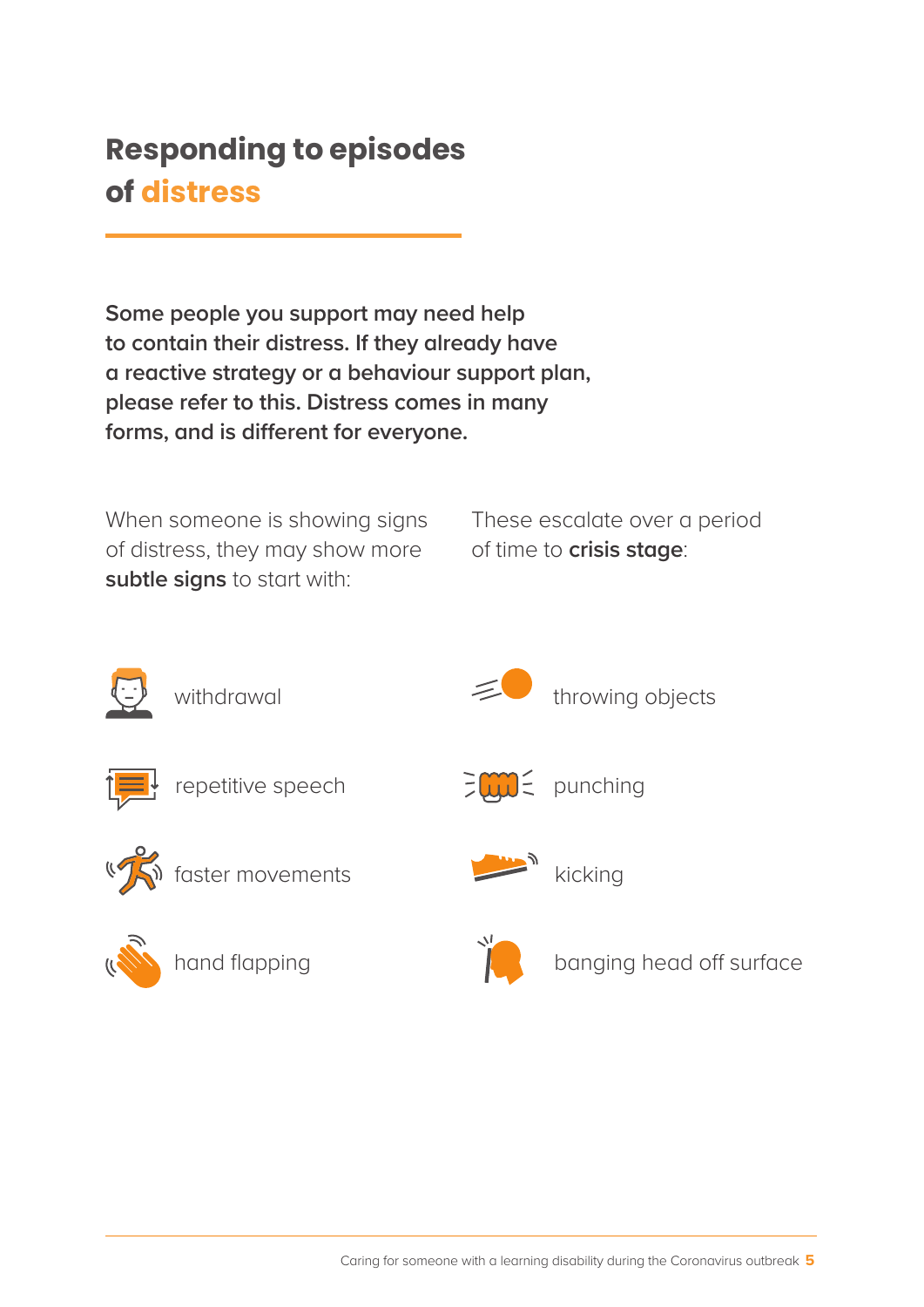## **Responding to episodes of distress**

**Some people you support may need help to contain their distress. If they already have a reactive strategy or a behaviour support plan, please refer to this. Distress comes in many forms, and is different for everyone.** 

When someone is showing signs of distress, they may show more **subtle signs** to start with:

These escalate over a period of time to **crisis stage**:



withdrawal



throwing objects



repetitive speech





(TS) faster movements



hand flapping





kicking



banging head off surface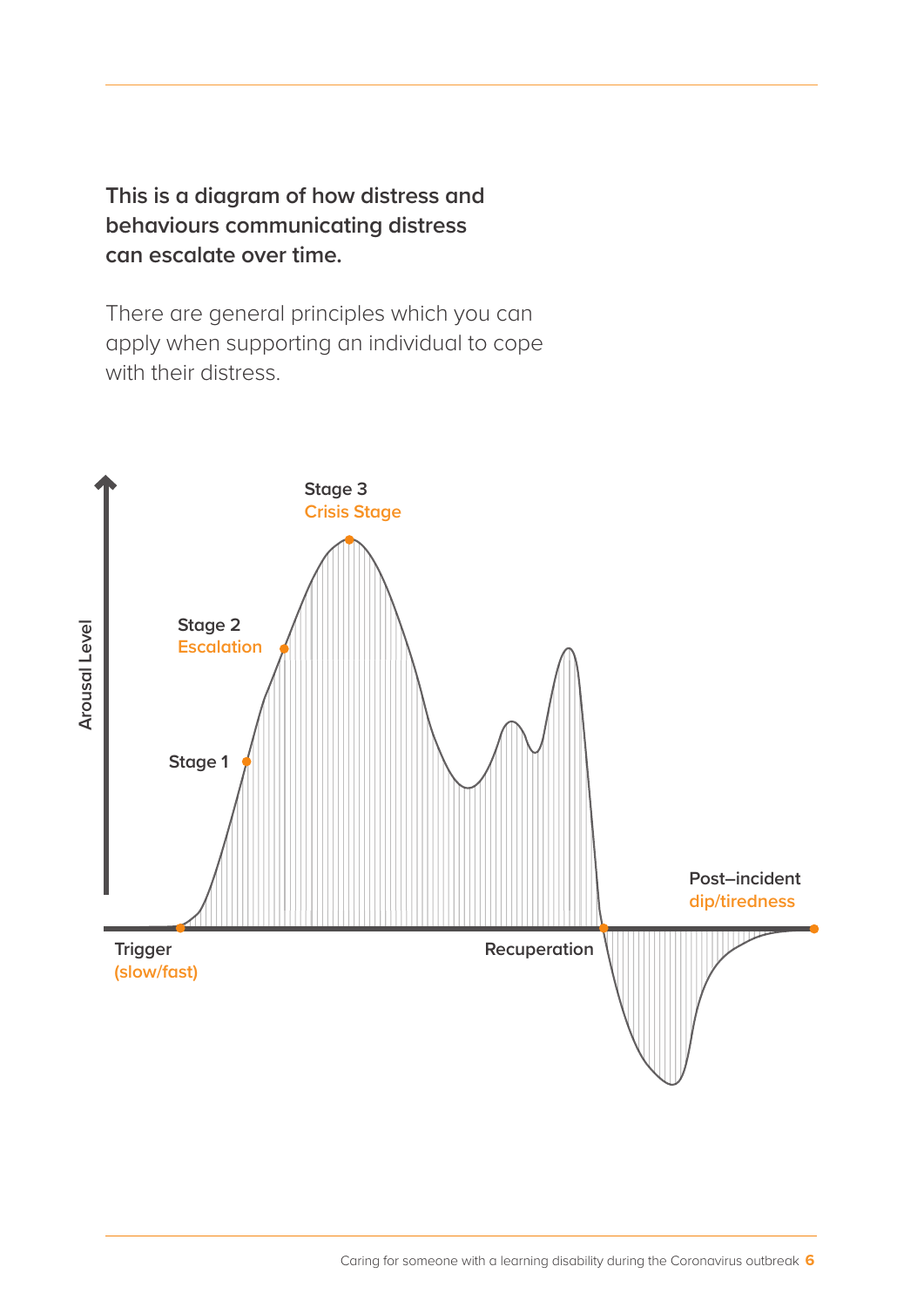**This is a diagram of how distress and behaviours communicating distress can escalate over time.**

There are general principles which you can apply when supporting an individual to cope with their distress.

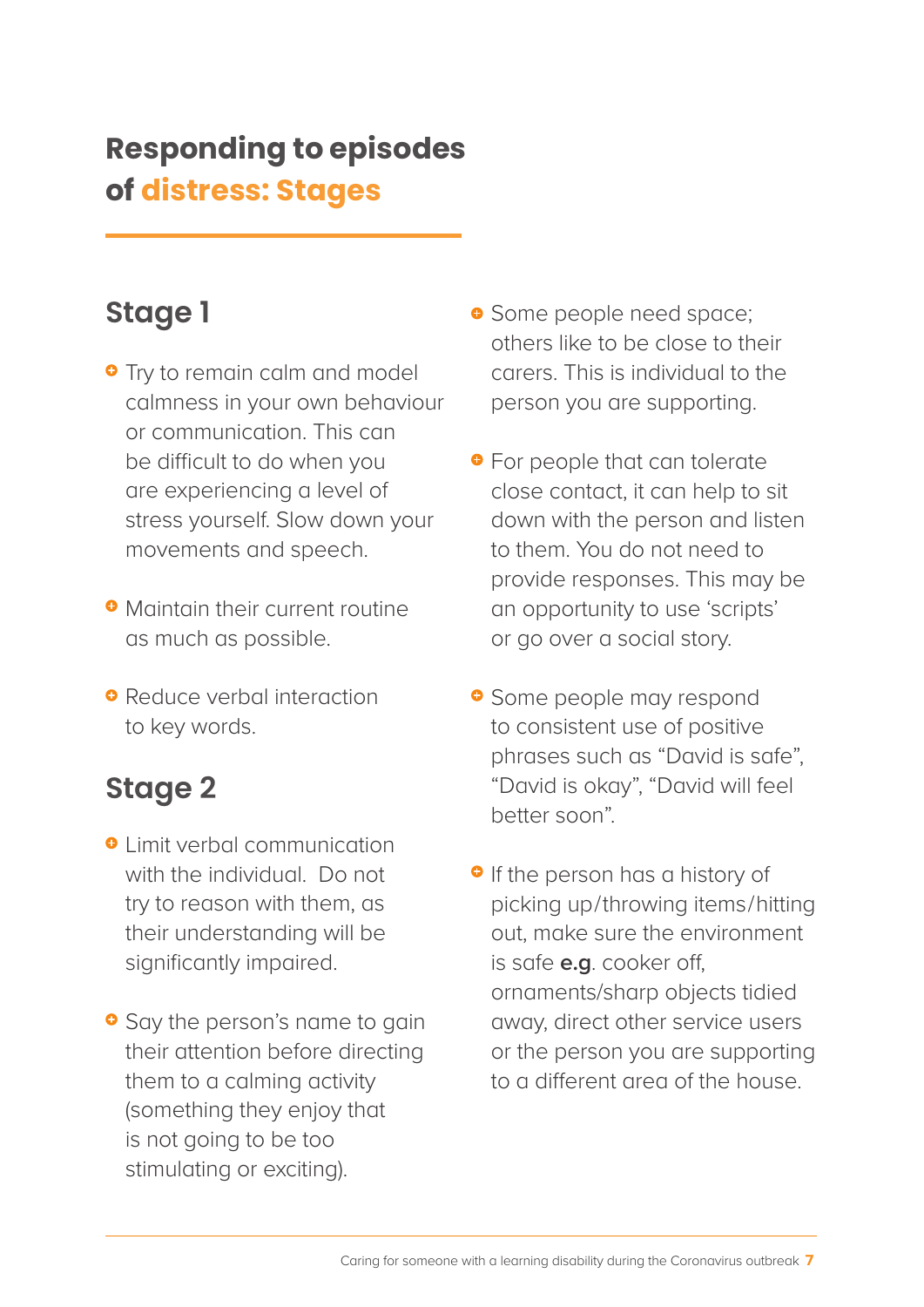# **Responding to episodes of distress: Stages**

## **Stage 1**

- **•** Try to remain calm and model calmness in your own behaviour or communication. This can be difficult to do when you are experiencing a level of stress yourself. Slow down your movements and speech.
- **Maintain their current routine** as much as possible.
- **•** Reduce verbal interaction to key words.

## **Stage 2**

- **O** Limit verbal communication with the individual. Do not try to reason with them, as their understanding will be significantly impaired.
- **•** Say the person's name to gain their attention before directing them to a calming activity (something they enjoy that is not going to be too stimulating or exciting).
- **•** Some people need space; others like to be close to their carers. This is individual to the person you are supporting.
- **•** For people that can tolerate close contact, it can help to sit down with the person and listen to them. You do not need to provide responses. This may be an opportunity to use 'scripts' or go over a social story.
- **•** Some people may respond to consistent use of positive phrases such as "David is safe", "David is okay", "David will feel better soon".
- **•** If the person has a history of picking up/throwing items/hitting out, make sure the environment is safe **e.g**. cooker off, ornaments/sharp objects tidied away, direct other service users or the person you are supporting to a different area of the house.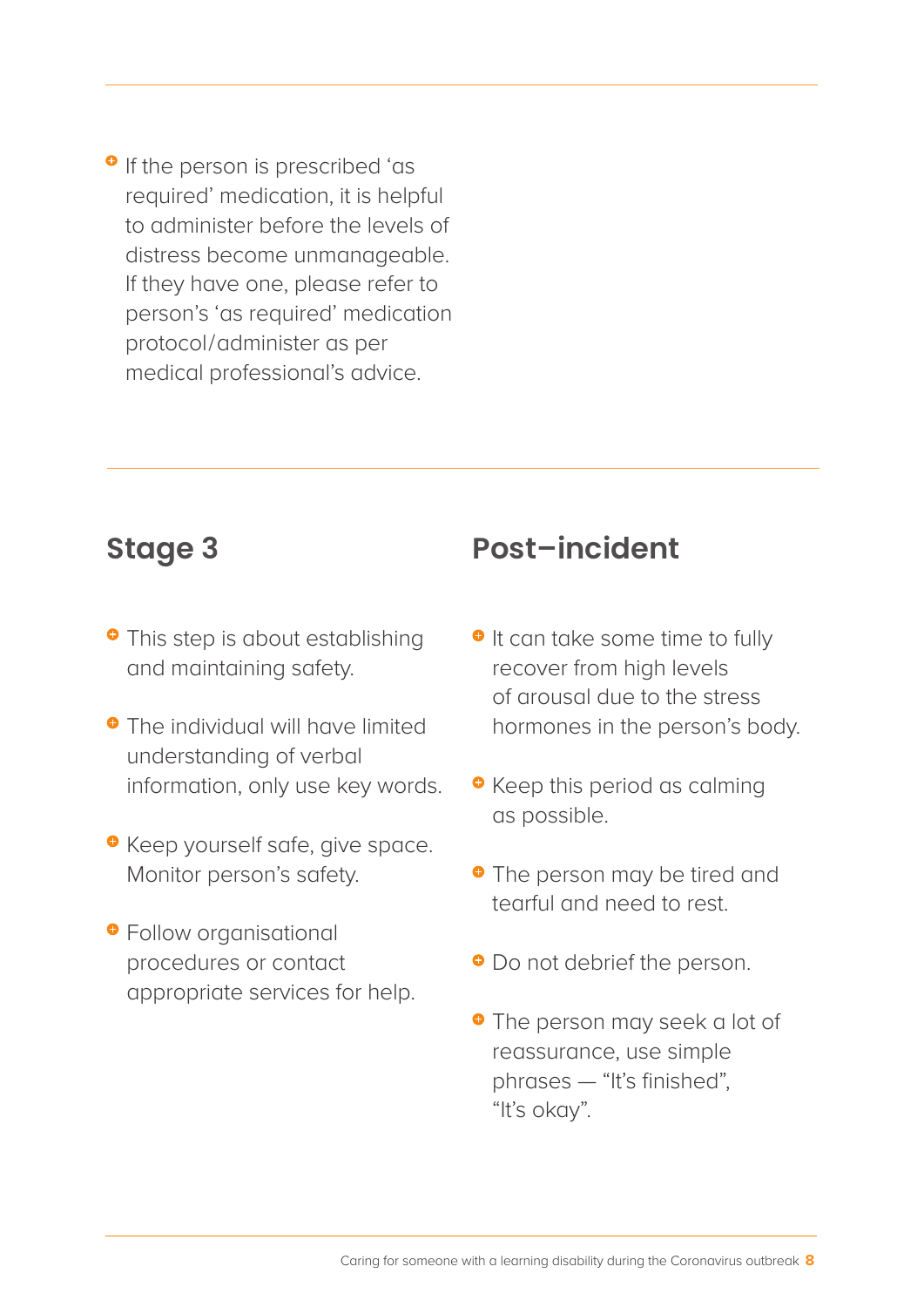**•** If the person is prescribed 'as required' medication, it is helpful to administer before the levels of distress become unmanageable. If they have one, please refer to person's 'as required' medication protocol/administer as per medical professional's advice.

#### **Stage 3**

- **•** This step is about establishing and maintaining safety.
- **•** The individual will have limited understanding of verbal information, only use key words.
- **•** Keep yourself safe, give space. Monitor person's safety.
- **•** Follow organisational procedures or contact appropriate services for help.

#### **Post–incident**

- $\bullet$  It can take some time to fully recover from high levels of arousal due to the stress hormones in the person's body.
- **•** Keep this period as calming as possible.
- **•** The person may be tired and tearful and need to rest.
- $\bullet$  Do not debrief the person.
- **•** The person may seek a lot of reassurance, use simple phrases — "It's finished", "It's okay".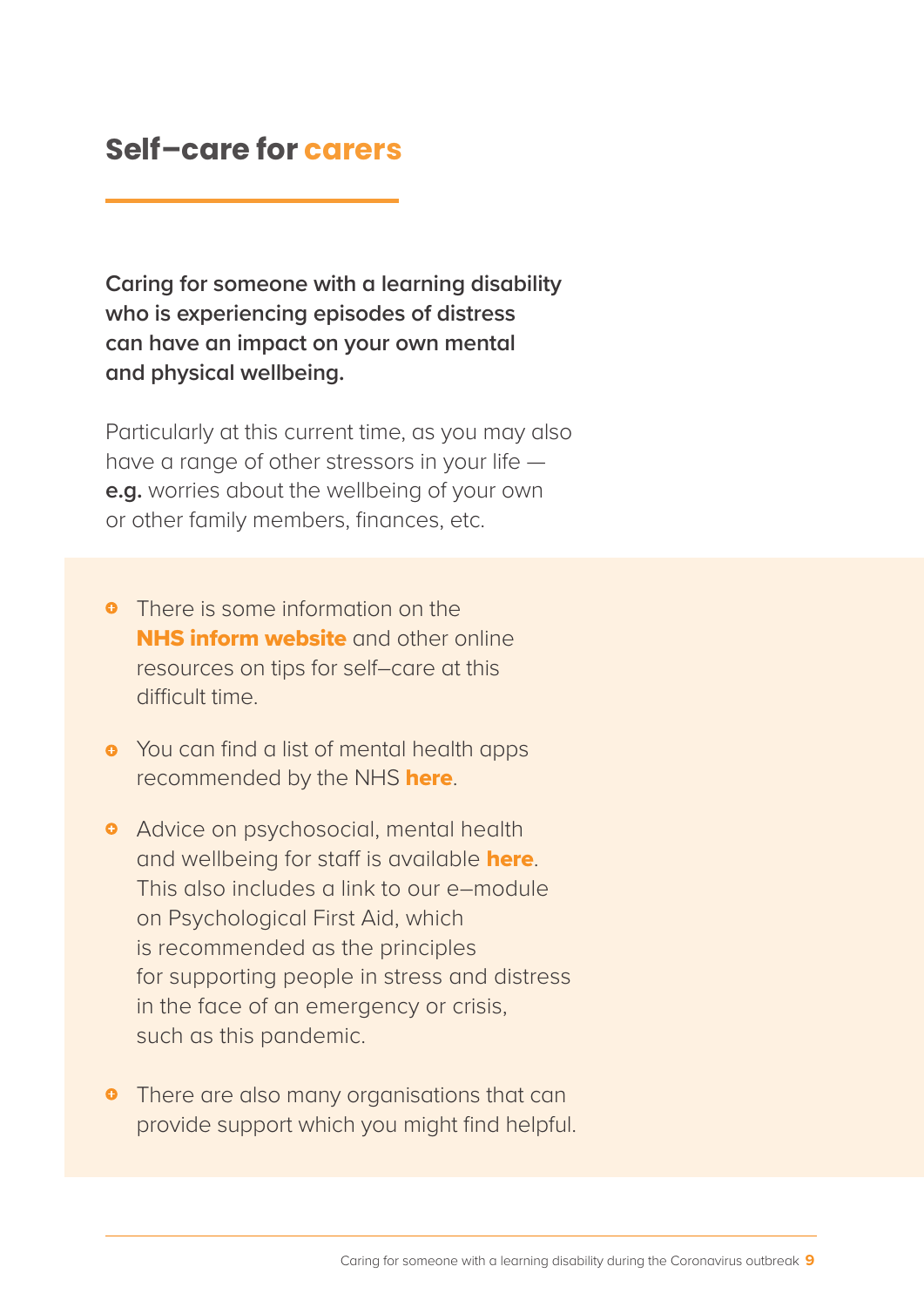#### **Self–care for carers**

**Caring for someone with a learning disability who is experiencing episodes of distress can have an impact on your own mental and physical wellbeing.**

Particularly at this current time, as you may also have a range of other stressors in your life **e.g.** worries about the wellbeing of your own or other family members, finances, etc.

- **•** There is some information on the NHS inform website and other online resources on tips for self–care at this difficult time.
- **•** You can find a list of mental health apps recommended by the NHS here.
- **•** Advice on psychosocial, mental health and wellbeing for staff is available **here**. This also includes a link to our e–module on Psychological First Aid, which is recommended as the principles for supporting people in stress and distress in the face of an emergency or crisis, such as this pandemic.
- **•** There are also many organisations that can provide support which you might find helpful.